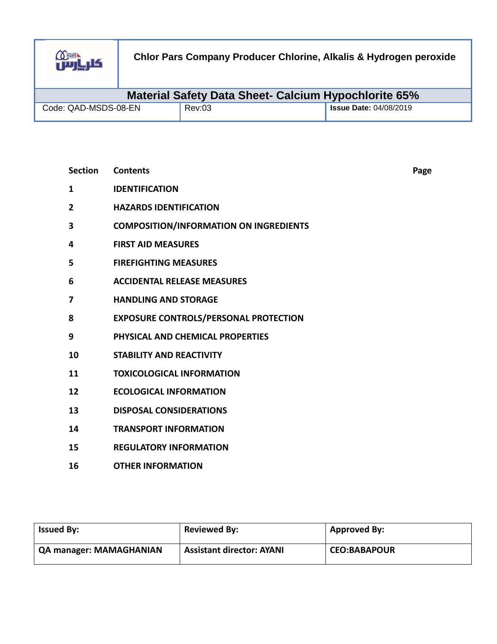

| <b>Material Safety Data Sheet- Calcium Hypochlorite 65%</b> |        |                               |  |
|-------------------------------------------------------------|--------|-------------------------------|--|
| Code: QAD-MSDS-08-EN                                        | Rev:03 | <b>Issue Date: 04/08/2019</b> |  |

| <b>Section</b> | <b>Contents</b>                               | Page |
|----------------|-----------------------------------------------|------|
| 1              | <b>IDENTIFICATION</b>                         |      |
| $\overline{2}$ | <b>HAZARDS IDENTIFICATION</b>                 |      |
| 3              | <b>COMPOSITION/INFORMATION ON INGREDIENTS</b> |      |
| 4              | <b>FIRST AID MEASURES</b>                     |      |
| 5              | <b>FIREFIGHTING MEASURES</b>                  |      |
| 6              | <b>ACCIDENTAL RELEASE MEASURES</b>            |      |
| 7              | <b>HANDLING AND STORAGE</b>                   |      |
| 8              | <b>EXPOSURE CONTROLS/PERSONAL PROTECTION</b>  |      |
| 9              | PHYSICAL AND CHEMICAL PROPERTIES              |      |
| 10             | <b>STABILITY AND REACTIVITY</b>               |      |
| 11             | <b>TOXICOLOGICAL INFORMATION</b>              |      |
| 12             | <b>ECOLOGICAL INFORMATION</b>                 |      |
| 13             | <b>DISPOSAL CONSIDERATIONS</b>                |      |
| 14             | <b>TRANSPORT INFORMATION</b>                  |      |
| 15             | <b>REGULATORY INFORMATION</b>                 |      |
| 16             | <b>OTHER INFORMATION</b>                      |      |

| <b>Issued By:</b>              | <b>Reviewed By:</b>              | <b>Approved By:</b> |
|--------------------------------|----------------------------------|---------------------|
| <b>QA manager: MAMAGHANIAN</b> | <b>Assistant director: AYANI</b> | <b>CEO:BABAPOUR</b> |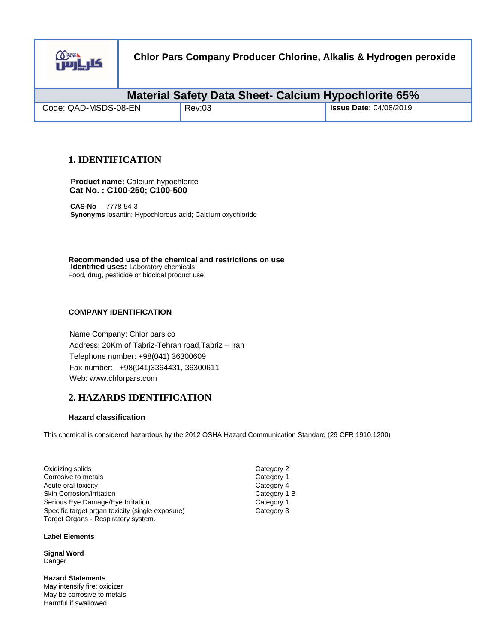

| <b>Material Safety Data Sheet- Calcium Hypochlorite 65%</b> |        |                               |
|-------------------------------------------------------------|--------|-------------------------------|
| Code: QAD-MSDS-08-EN                                        | Rev:03 | <b>Issue Date: 04/08/2019</b> |

## **1. IDENTIFICATION**

 **Product name:** Calcium hypochlorite  **Cat No. : C100-250; C100-500** 

 **CAS-No** 7778-54-3  **Synonyms** losantin; Hypochlorous acid; Calcium oxychloride

**Recommended use of the chemical and restrictions on use Identified uses:** Laboratory chemicals. Food, drug, pesticide or biocidal product use

## **COMPANY IDENTIFICATION**

Name Company: Chlor pars co Address: 20Km of Tabriz-Tehran road,Tabriz – Iran Telephone number: +98(041) 36300609 Fax number: +98(041)3364431, 36300611 Web: www.chlorpars.com

## **2. HAZARDS IDENTIFICATION**

### **Hazard classification**

This chemical is considered hazardous by the 2012 OSHA Hazard Communication Standard (29 CFR 1910.1200)

| Oxidizing solids                                 |  |
|--------------------------------------------------|--|
| Corrosive to metals                              |  |
| Acute oral toxicity                              |  |
| <b>Skin Corrosion/irritation</b>                 |  |
| Serious Eye Damage/Eye Irritation                |  |
| Specific target organ toxicity (single exposure) |  |
| Target Organs - Respiratory system.              |  |

**Label Elements** 

**Signal Word** Danger

**Hazard Statements** May intensify fire; oxidizer May be corrosive to metals Harmful if swallowed

Category 2 Category 1 Category 4 Category 1 B Category 1 Category 3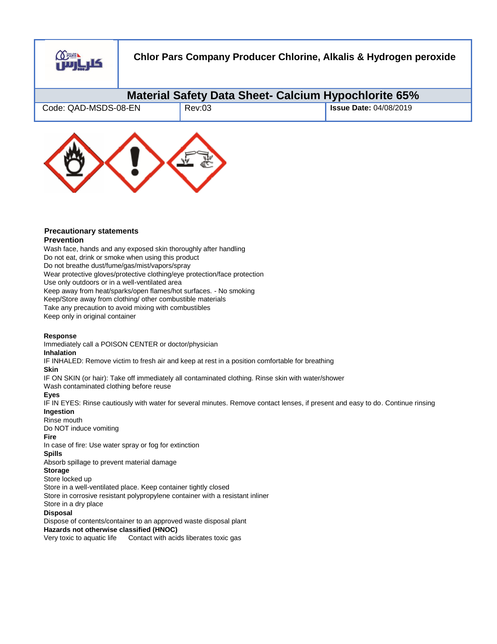

| Material Safety Data Sheet- Calcium Hypochlorite 65% |        |                               |  |
|------------------------------------------------------|--------|-------------------------------|--|
| Code: QAD-MSDS-08-EN                                 | Rev:03 | <b>Issue Date: 04/08/2019</b> |  |



# **Precautionary statements**

#### **Prevention**

Wash face, hands and any exposed skin thoroughly after handling Do not eat, drink or smoke when using this product Do not breathe dust/fume/gas/mist/vapors/spray Wear protective gloves/protective clothing/eye protection/face protection Use only outdoors or in a well-ventilated area Keep away from heat/sparks/open flames/hot surfaces. - No smoking Keep/Store away from clothing/ other combustible materials Take any precaution to avoid mixing with combustibles Keep only in original container

### **Response**

Immediately call a POISON CENTER or doctor/physician

### **Inhalation**

IF INHALED: Remove victim to fresh air and keep at rest in a position comfortable for breathing

## **Skin**

IF ON SKIN (or hair): Take off immediately all contaminated clothing. Rinse skin with water/shower

Wash contaminated clothing before reuse

### **Eyes**

IF IN EYES: Rinse cautiously with water for several minutes. Remove contact lenses, if present and easy to do. Continue rinsing **Ingestion**

### Rinse mouth

Do NOT induce vomiting

### **Fire**

In case of fire: Use water spray or fog for extinction

## **Spills**

Absorb spillage to prevent material damage

#### **Storage**

Store locked up

Store in a well-ventilated place. Keep container tightly closed

Store in corrosive resistant polypropylene container with a resistant inliner Store in a dry place

### **Disposal**

Dispose of contents/container to an approved waste disposal plant **Hazards not otherwise classified (HNOC)** 

Very toxic to aquatic life Contact with acids liberates toxic gas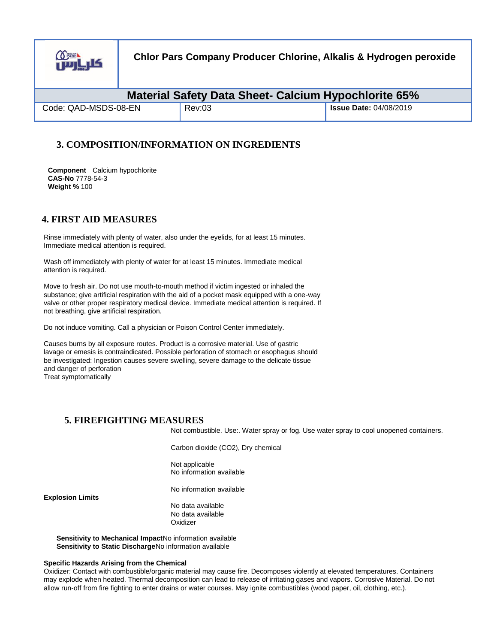

| Material Safety Data Sheet- Calcium Hypochlorite 65% |        |                               |  |
|------------------------------------------------------|--------|-------------------------------|--|
| Code: QAD-MSDS-08-EN                                 | Rev:03 | <b>Issue Date: 04/08/2019</b> |  |

## **3. COMPOSITION/INFORMATION ON INGREDIENTS**

**Component** Calcium hypochlorite **CAS-No** 7778-54-3 **Weight %** 100

## **4. FIRST AID MEASURES**

Rinse immediately with plenty of water, also under the eyelids, for at least 15 minutes. Immediate medical attention is required.

Wash off immediately with plenty of water for at least 15 minutes. Immediate medical attention is required.

Move to fresh air. Do not use mouth-to-mouth method if victim ingested or inhaled the substance; give artificial respiration with the aid of a pocket mask equipped with a one-way valve or other proper respiratory medical device. Immediate medical attention is required. If not breathing, give artificial respiration.

Do not induce vomiting. Call a physician or Poison Control Center immediately.

Causes burns by all exposure routes. Product is a corrosive material. Use of gastric lavage or emesis is contraindicated. Possible perforation of stomach or esophagus should be investigated: Ingestion causes severe swelling, severe damage to the delicate tissue and danger of perforation Treat symptomatically

## **5. FIREFIGHTING MEASURES**

Not combustible. Use:. Water spray or fog. Use water spray to cool unopened containers.

Carbon dioxide (CO2), Dry chemical

Not applicable No information available

No information available

**Explosion Limits** 

No data available No data available **Oxidizer** 

**Sensitivity to Mechanical Impact**No information available **Sensitivity to Static Discharge**No information available

#### **Specific Hazards Arising from the Chemical**

Oxidizer: Contact with combustible/organic material may cause fire. Decomposes violently at elevated temperatures. Containers may explode when heated. Thermal decomposition can lead to release of irritating gases and vapors. Corrosive Material. Do not allow run-off from fire fighting to enter drains or water courses. May ignite combustibles (wood paper, oil, clothing, etc.).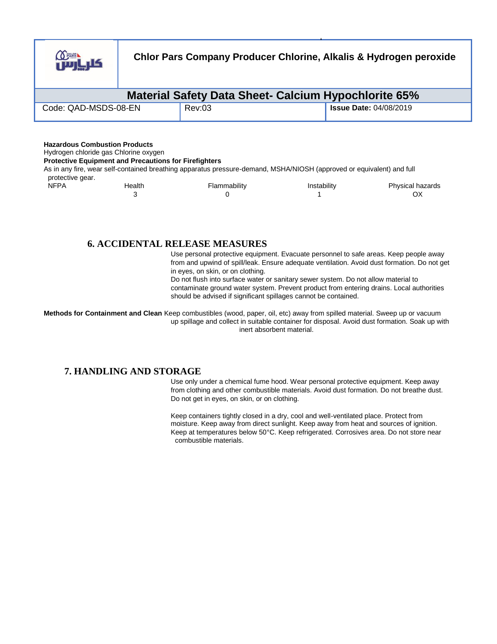

| Material Safety Data Sheet- Calcium Hypochlorite 65% |        |                               |  |
|------------------------------------------------------|--------|-------------------------------|--|
| Code: QAD-MSDS-08-EN                                 | Rev:03 | <b>Issue Date: 04/08/2019</b> |  |

#### **Hazardous Combustion Products**

Hydrogen chloride gas Chlorine oxygen

**Protective Equipment and Precautions for Firefighters**

As in any fire, wear self-contained breathing apparatus pressure-demand, MSHA/NIOSH (approved or equivalent) and full

| <b>NFPA</b> | Health | Flammability | Instability | Physical hazards |
|-------------|--------|--------------|-------------|------------------|
|             |        |              |             | Оλ               |

## **6. ACCIDENTAL RELEASE MEASURES**

Use personal protective equipment. Evacuate personnel to safe areas. Keep people away from and upwind of spill/leak. Ensure adequate ventilation. Avoid dust formation. Do not get in eyes, on skin, or on clothing.

Do not flush into surface water or sanitary sewer system. Do not allow material to contaminate ground water system. Prevent product from entering drains. Local authorities should be advised if significant spillages cannot be contained.

**Methods for Containment and Clean** Keep combustibles (wood, paper, oil, etc) away from spilled material. Sweep up or vacuum up spillage and collect in suitable container for disposal. Avoid dust formation. Soak up with inert absorbent material.

## **7. HANDLING AND STORAGE**

Use only under a chemical fume hood. Wear personal protective equipment. Keep away from clothing and other combustible materials. Avoid dust formation. Do not breathe dust. Do not get in eyes, on skin, or on clothing.

Keep containers tightly closed in a dry, cool and well-ventilated place. Protect from moisture. Keep away from direct sunlight. Keep away from heat and sources of ignition. Keep at temperatures below 50°C. Keep refrigerated. Corrosives area. Do not store near combustible materials.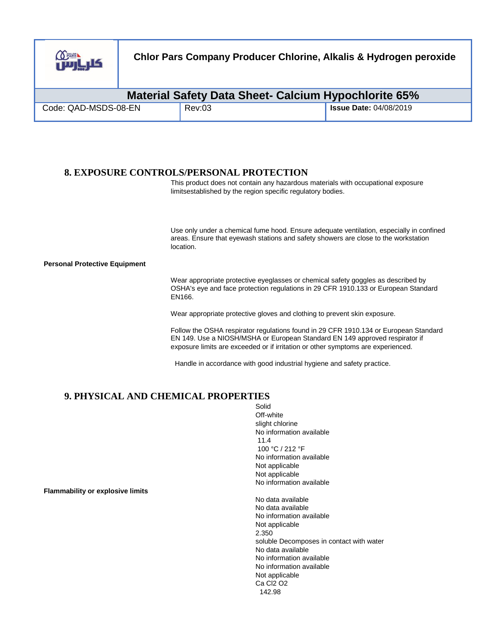

| <b>Material Safety Data Sheet- Calcium Hypochlorite 65%</b> |        |                                     |  |
|-------------------------------------------------------------|--------|-------------------------------------|--|
| Code: QAD-MSDS-08-EN                                        | Rev:03 | <sup>1</sup> Issue Date: 04/08/2019 |  |

## **8. EXPOSURE CONTROLS/PERSONAL PROTECTION**

This product does not contain any hazardous materials with occupational exposure limitsestablished by the region specific regulatory bodies.

Use only under a chemical fume hood. Ensure adequate ventilation, especially in confined areas. Ensure that eyewash stations and safety showers are close to the workstation location.

#### **Personal Protective Equipment**

Wear appropriate protective eyeglasses or chemical safety goggles as described by OSHA's eye and face protection regulations in 29 CFR 1910.133 or European Standard EN166.

Wear appropriate protective gloves and clothing to prevent skin exposure.

Follow the OSHA respirator regulations found in 29 CFR 1910.134 or European Standard EN 149. Use a NIOSH/MSHA or European Standard EN 149 approved respirator if exposure limits are exceeded or if irritation or other symptoms are experienced.

Handle in accordance with good industrial hygiene and safety practice.

### **9. PHYSICAL AND CHEMICAL PROPERTIES** Solid

Off-white slight chlorine No information available 11.4 100 °C / 212 °F No information available Not applicable Not applicable No information available No data available No data available No information available Not applicable 2.350 soluble Decomposes in contact with water No data available No information available No information available Not applicable Ca Cl2 O2 142.98

**Flammability or explosive limits**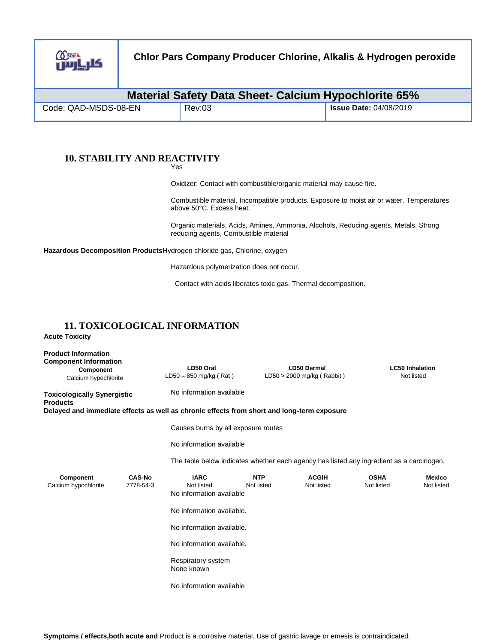

| <b>Material Safety Data Sheet- Calcium Hypochlorite 65%</b> |        |                          |
|-------------------------------------------------------------|--------|--------------------------|
| Code: QAD-MSDS-08-EN                                        | Rev:03 | I Issue Date: 04/08/2019 |

# **10. STABILITY AND REACTIVITY**

Yes

Oxidizer: Contact with combustible/organic material may cause fire.

Combustible material. Incompatible products. Exposure to moist air or water. Temperatures above 50°C. Excess heat.

Organic materials, Acids, Amines, Ammonia, Alcohols, Reducing agents, Metals, Strong reducing agents, Combustible material

**Hazardous Decomposition Products**Hydrogen chloride gas, Chlorine, oxygen

Hazardous polymerization does not occur.

Contact with acids liberates toxic gas. Thermal decomposition.

# **11. TOXICOLOGICAL INFORMATION**

**Acute Toxicity** 

| <b>Product Information</b><br><b>Component Information</b><br>Component<br>Calcium hypochlorite |                            | LD50 Oral<br>$LD50 = 850$ mg/kg (Rat)                                                      |                          | <b>LD50 Dermal</b><br>$LD50 > 2000$ mg/kg (Rabbit) |                           | <b>LC50 Inhalation</b><br>Not listed |
|-------------------------------------------------------------------------------------------------|----------------------------|--------------------------------------------------------------------------------------------|--------------------------|----------------------------------------------------|---------------------------|--------------------------------------|
| <b>Toxicologically Synergistic</b><br><b>Products</b>                                           |                            | No information available                                                                   |                          |                                                    |                           |                                      |
|                                                                                                 |                            | Delayed and immediate effects as well as chronic effects from short and long-term exposure |                          |                                                    |                           |                                      |
|                                                                                                 |                            | Causes burns by all exposure routes                                                        |                          |                                                    |                           |                                      |
|                                                                                                 |                            | No information available                                                                   |                          |                                                    |                           |                                      |
|                                                                                                 |                            | The table below indicates whether each agency has listed any ingredient as a carcinogen.   |                          |                                                    |                           |                                      |
| Component<br>Calcium hypochlorite                                                               | <b>CAS-No</b><br>7778-54-3 | <b>IARC</b><br>Not listed<br>No information available                                      | <b>NTP</b><br>Not listed | <b>ACGIH</b><br>Not listed                         | <b>OSHA</b><br>Not listed | <b>Mexico</b><br>Not listed          |
|                                                                                                 |                            | No information available.                                                                  |                          |                                                    |                           |                                      |
|                                                                                                 |                            | No information available.                                                                  |                          |                                                    |                           |                                      |
|                                                                                                 |                            | No information available.                                                                  |                          |                                                    |                           |                                      |
|                                                                                                 |                            | Respiratory system<br>None known                                                           |                          |                                                    |                           |                                      |
|                                                                                                 |                            | No information available                                                                   |                          |                                                    |                           |                                      |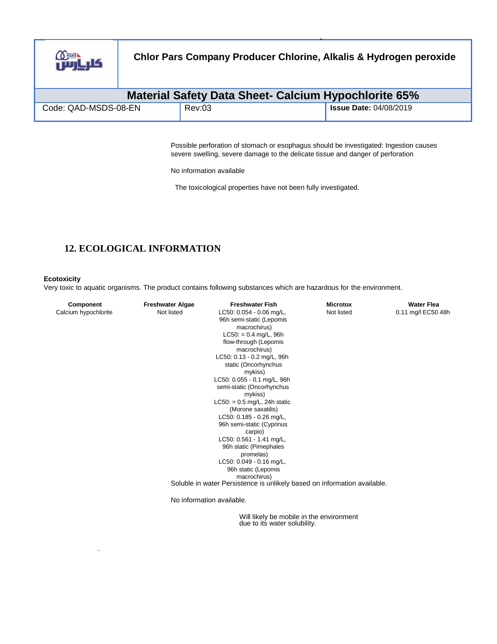

| <b>Material Safety Data Sheet- Calcium Hypochlorite 65%</b> |        |                               |  |
|-------------------------------------------------------------|--------|-------------------------------|--|
| Code: QAD-MSDS-08-EN                                        | Rev:03 | <b>Issue Date: 04/08/2019</b> |  |

Possible perforation of stomach or esophagus should be investigated: Ingestion causes severe swelling, severe damage to the delicate tissue and danger of perforation

No information available

The toxicological properties have not been fully investigated.

# **12. ECOLOGICAL INFORMATION**

### **Ecotoxicity**

.

Very toxic to aquatic organisms. The product contains following substances which are hazardous for the environment.

| Component            | <b>Freshwater Algae</b> | <b>Freshwater Fish</b>                                                   | <b>Microtox</b> | <b>Water Flea</b>  |
|----------------------|-------------------------|--------------------------------------------------------------------------|-----------------|--------------------|
| Calcium hypochlorite | Not listed              | LC50: 0.054 - 0.06 mg/L,                                                 | Not listed      | 0.11 mg/l EC50 48h |
|                      |                         | 96h semi-static (Lepomis                                                 |                 |                    |
|                      |                         | macrochirus)                                                             |                 |                    |
|                      |                         | $LC50: = 0.4$ mg/L, 96h                                                  |                 |                    |
|                      |                         | flow-through (Lepomis                                                    |                 |                    |
|                      |                         | macrochirus)                                                             |                 |                    |
|                      |                         | LC50: 0.13 - 0.2 mg/L, 96h                                               |                 |                    |
|                      |                         | static (Oncorhynchus                                                     |                 |                    |
|                      |                         | mykiss)                                                                  |                 |                    |
|                      |                         | LC50: 0.055 - 0.1 mg/L, 96h                                              |                 |                    |
|                      |                         | semi-static (Oncorhynchus                                                |                 |                    |
|                      |                         | mykiss)                                                                  |                 |                    |
|                      |                         | $LC50: = 0.5$ mg/L, 24h static                                           |                 |                    |
|                      |                         | (Morone saxatilis)                                                       |                 |                    |
|                      |                         | LC50: 0.185 - 0.26 mg/L,                                                 |                 |                    |
|                      |                         | 96h semi-static (Cyprinus                                                |                 |                    |
|                      |                         | carpio)                                                                  |                 |                    |
|                      |                         | LC50: 0.561 - 1.41 mg/L,                                                 |                 |                    |
|                      |                         | 96h static (Pimephales                                                   |                 |                    |
|                      |                         | promelas)                                                                |                 |                    |
|                      |                         | LC50: 0.049 - 0.16 mg/L,                                                 |                 |                    |
|                      |                         | 96h static (Lepomis                                                      |                 |                    |
|                      |                         | macrochirus)                                                             |                 |                    |
|                      |                         | Soluble in water Persistence is unlikely based on information available. |                 |                    |
|                      |                         | No information available.                                                |                 |                    |

Will likely be mobile in the environment due to its water solubility.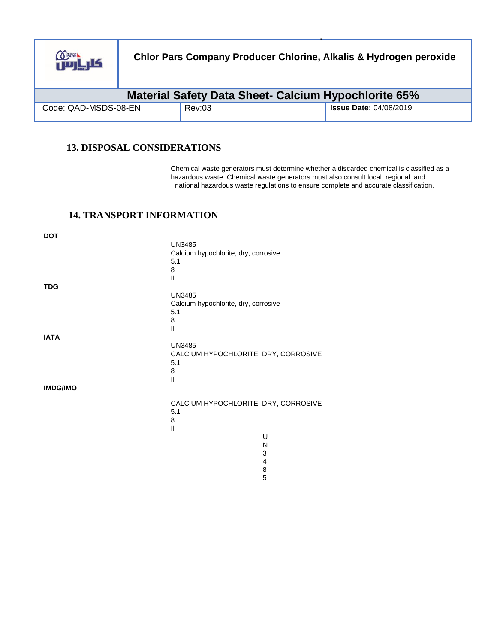

| <b>Material Safety Data Sheet- Calcium Hypochlorite 65%</b> |        |                               |  |
|-------------------------------------------------------------|--------|-------------------------------|--|
| Code: QAD-MSDS-08-EN                                        | Rev:03 | <b>Issue Date: 04/08/2019</b> |  |

## **13. DISPOSAL CONSIDERATIONS**

Chemical waste generators must determine whether a discarded chemical is classified as a hazardous waste. Chemical waste generators must also consult local, regional, and national hazardous waste regulations to ensure complete and accurate classification.

## **14. TRANSPORT INFORMATION**

| <b>DOT</b>      |                                      |                         |
|-----------------|--------------------------------------|-------------------------|
|                 | <b>UN3485</b>                        |                         |
|                 | Calcium hypochlorite, dry, corrosive |                         |
|                 | 5.1                                  |                         |
|                 | 8<br>$\mathbf{I}$                    |                         |
| <b>TDG</b>      |                                      |                         |
|                 | <b>UN3485</b>                        |                         |
|                 | Calcium hypochlorite, dry, corrosive |                         |
|                 | 5.1                                  |                         |
|                 | 8                                    |                         |
| <b>IATA</b>     | $\mathbf{I}$                         |                         |
|                 | <b>UN3485</b>                        |                         |
|                 | CALCIUM HYPOCHLORITE, DRY, CORROSIVE |                         |
|                 | 5.1                                  |                         |
|                 | 8                                    |                         |
|                 | $\mathbf{II}$                        |                         |
| <b>IMDG/IMO</b> |                                      |                         |
|                 | CALCIUM HYPOCHLORITE, DRY, CORROSIVE |                         |
|                 | 5.1                                  |                         |
|                 | 8                                    |                         |
|                 | $\mathbf{I}$                         |                         |
|                 |                                      | U<br>N                  |
|                 |                                      | 3                       |
|                 |                                      | $\overline{\mathbf{4}}$ |
|                 |                                      | 8                       |
|                 |                                      | 5                       |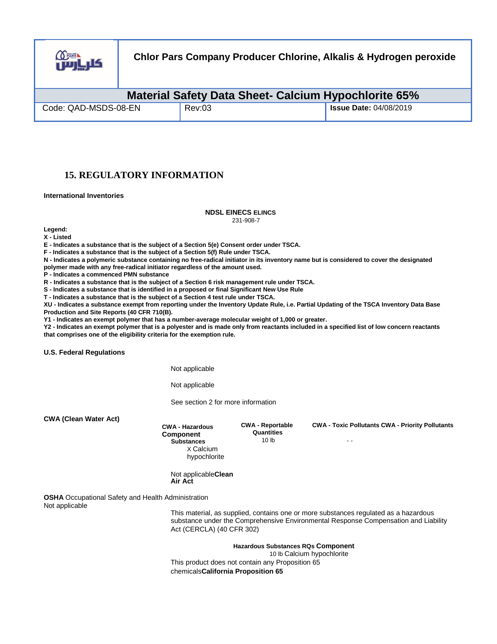

| Material Safety Data Sheet- Calcium Hypochlorite 65% |        |                               |  |
|------------------------------------------------------|--------|-------------------------------|--|
| Code: QAD-MSDS-08-EN                                 | Rev:03 | <b>Issue Date: 04/08/2019</b> |  |

## **15. REGULATORY INFORMATION**

**International Inventories** 

#### **NDSL EINECS ELINCS**

231-908-7

**Legend:** 

**X - Listed** 

**E - Indicates a substance that is the subject of a Section 5(e) Consent order under TSCA.** 

**F - Indicates a substance that is the subject of a Section 5(f) Rule under TSCA.** 

**N - Indicates a polymeric substance containing no free-radical initiator in its inventory name but is considered to cover the designated** 

**polymer made with any free-radical initiator regardless of the amount used.** 

**P - Indicates a commenced PMN substance** 

**R - Indicates a substance that is the subject of a Section 6 risk management rule under TSCA.** 

**S - Indicates a substance that is identified in a proposed or final Significant New Use Rule** 

**T - Indicates a substance that is the subject of a Section 4 test rule under TSCA.** 

**XU - Indicates a substance exempt from reporting under the Inventory Update Rule, i.e. Partial Updating of the TSCA Inventory Data Base Production and Site Reports (40 CFR 710(B).** 

**Y1 - Indicates an exempt polymer that has a number-average molecular weight of 1,000 or greater.** 

**Y2 - Indicates an exempt polymer that is a polyester and is made only from reactants included in a specified list of low concern reactants that comprises one of the eligibility criteria for the exemption rule.** 

**U.S. Federal Regulations** 

Not applicable

Not applicable

See section 2 for more information

**CWA (Clean Water Act)** 

**CWA - Hazardous Component Substances**  X Calcium hypochlorite **CWA - Reportable Quantities**  10 lb

**CWA - Toxic Pollutants CWA - Priority Pollutants**

- -

Not applicable**Clean Air Act**

**OSHA** Occupational Safety and Health Administration Not applicable

This material, as supplied, contains one or more substances regulated as a hazardous substance under the Comprehensive Environmental Response Compensation and Liability Act (CERCLA) (40 CFR 302)

**Hazardous Substances RQs Component**  10 lb Calcium hypochlorite This product does not contain any Proposition 65

chemicals**California Proposition 65**